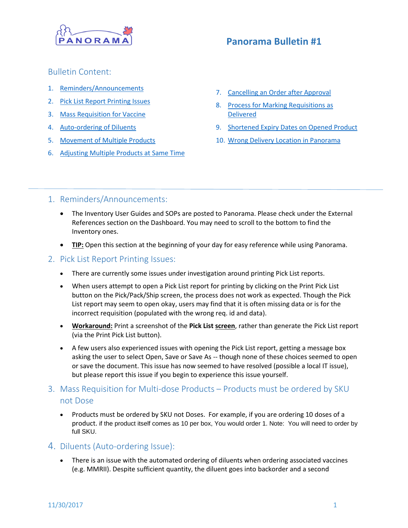

# **Panorama Bulletin #1**

## Bulletin Content:

- 1. [Reminders/Announcements](#page-0-0)
- 2. [Pick List Report Printing Issues](#page-0-1)
- 3. [Mass Requisition for Vaccine](#page-0-2)
- 4. [Auto-ordering of Diluents](#page-0-3)
- 5. [Movement of Multiple Products](#page-1-0)
- 6. Adjusting [Multiple Products at](#page-2-0) Same Time
- 7. [Cancelling an Order after Approval](#page-2-1)
- 8. [Process for Marking Requisitions as](#page-2-2)  [Delivered](#page-2-2)
- 9. [Shortened Expiry Dates on Opened Product](#page-3-0)
- 10. [Wrong Delivery Location in Panorama](#page-3-1)

## <span id="page-0-0"></span>1. Reminders/Announcements:

- The Inventory User Guides and SOPs are posted to Panorama. Please check under the External References section on the Dashboard. You may need to scroll to the bottom to find the Inventory ones.
- **TIP:** Open this section at the beginning of your day for easy reference while using Panorama.

### <span id="page-0-1"></span>2. Pick List Report Printing Issues:

- There are currently some issues under investigation around printing Pick List reports.
- When users attempt to open a Pick List report for printing by clicking on the Print Pick List button on the Pick/Pack/Ship screen, the process does not work as expected. Though the Pick List report may seem to open okay, users may find that it is often missing data or is for the incorrect requisition (populated with the wrong req. id and data).
- **Workaround:** Print a screenshot of the **Pick List screen**, rather than generate the Pick List report (via the Print Pick List button).
- A few users also experienced issues with opening the Pick List report, getting a message box asking the user to select Open, Save or Save As -- though none of these choices seemed to open or save the document. This issue has now seemed to have resolved (possible a local IT issue), but please report this issue if you begin to experience this issue yourself.

## <span id="page-0-2"></span>3. Mass Requisition for Multi-dose Products – Products must be ordered by SKU not Dose

 Products must be ordered by SKU not Doses. For example, if you are ordering 10 doses of a product. if the product itself comes as 10 per box, You would order 1. Note: You will need to order by full SKU.

## <span id="page-0-3"></span>4. Diluents (Auto-ordering Issue):

 There is an issue with the automated ordering of diluents when ordering associated vaccines (e.g. MMRII). Despite sufficient quantity, the diluent goes into backorder and a second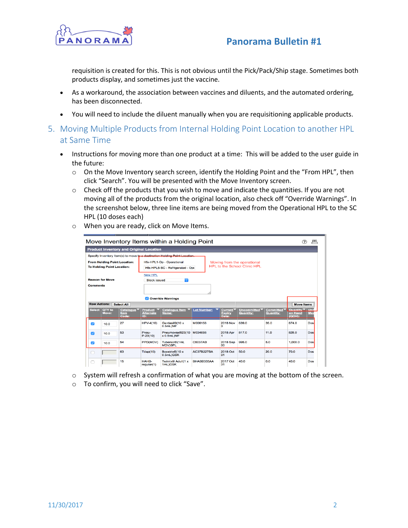



requisition is created for this. This is not obvious until the Pick/Pack/Ship stage. Sometimes both products display, and sometimes just the vaccine.

- As a workaround, the association between vaccines and diluents, and the automated ordering, has been disconnected.
- You will need to include the diluent manually when you are requisitioning applicable products.
- <span id="page-1-0"></span>5. Moving Multiple Products from Internal Holding Point Location to another HPL at Same Time
	- Instructions for moving more than one product at a time: This will be added to the user guide in the future:
		- o On the Move Inventory search screen, identify the Holding Point and the "From HPL", then click "Search". You will be presented with the Move Inventory screen.
		- $\circ$  Check off the products that you wish to move and indicate the quantities. If you are not moving all of the products from the original location, also check off "Override Warnings". In the screenshot below, three line items are being moved from the Operational HPL to the SC HPL (10 doses each)
		- o When you are ready, click on Move Items.

| Move Inventory Items within a Holding Point                              |                 |                                                                 |                                           |                                                                            |                    |                                                                    |                                 |                                      |                                                |            |
|--------------------------------------------------------------------------|-----------------|-----------------------------------------------------------------|-------------------------------------------|----------------------------------------------------------------------------|--------------------|--------------------------------------------------------------------|---------------------------------|--------------------------------------|------------------------------------------------|------------|
|                                                                          |                 | <b>Product Inventory and Original Location</b>                  |                                           |                                                                            |                    |                                                                    |                                 |                                      |                                                |            |
|                                                                          |                 |                                                                 |                                           | Specify Inventory Item(s) to move to a destination Holding Point Location. |                    |                                                                    |                                 |                                      |                                                |            |
| <b>From Holding Point Location:</b><br><b>To Holding Point Location:</b> |                 |                                                                 |                                           | Hfx-HPL1-Op - Operational<br>Hfx-HPL5-SC - Refrigerated - Opt              |                    | Moving from the operational<br><b>HPL to the School Clinic HPL</b> |                                 |                                      |                                                |            |
| <b>Reason for Move</b><br><b>Comments</b>                                |                 |                                                                 | <b>New HPL</b><br><b>Stock issued</b>     | $\circ$                                                                    |                    |                                                                    |                                 |                                      |                                                |            |
| <b>Row Actions:</b>                                                      |                 | <b>Select All</b>                                               |                                           | Override Warnings                                                          |                    |                                                                    |                                 |                                      | <b>Move Items</b>                              |            |
| <b>Select</b>                                                            | QTY to<br>Move: | <b>Catalogue</b><br><b>Item</b><br>$\overline{\mathbf{Code}}$ : | <b>Product</b><br><b>Alternate</b><br>יםו | <b>Catalogue Item</b><br>Name:                                             | <b>Lot Number:</b> | <b>Current</b><br><b>Expiry</b><br>Date:                           | Uncommitted<br><b>Quantity:</b> | <b>Committed</b><br><b>Quantity:</b> | Quantity <sup>V</sup> Uni<br>on Hand<br>(QOH): | Me:        |
| $\blacktriangledown$                                                     | 10.0            | 27                                                              | <b>HPV-4(10)</b>                          | Gardasil®(10 x<br>0.5mL)MF                                                 | M006158            | <b>2018 Nov</b><br>з                                               | 839.0                           | 35.0                                 | 874.0                                          | Dos        |
| $\overline{\mathcal{L}}$                                                 | 10.0            | 53                                                              | Pneu-<br>$P-23(10)$                       | Pneumovax®23(10<br>$x$ 0.5mL)MF                                            | M034698            | 2018 Apr                                                           | 817.0                           | 11.0                                 | 828.0                                          | <b>Dos</b> |
| ☑                                                                        | 10.0            | 54                                                              | PPD(MDV)                                  | Tubersol®(1mL<br><b>MDV)SPL</b>                                            | <b>C5037AB</b>     | 2018 Sep<br>30                                                     | 995.0                           | 5.0                                  | 1.000.0                                        | <b>Dos</b> |
|                                                                          |                 | 63                                                              | Tdap(10)                                  | Boostrix®(10 x<br>0.5mL)GSK                                                | <b>AC37B227BA</b>  | 2018 Oct<br>31                                                     | 50.0                            | 20.0                                 | 70.0                                           | <b>Dos</b> |
|                                                                          |                 | 15                                                              | HAHB-<br>regular(1)                       | Twinrix <sup>®</sup> Adult(1 x<br>1mL)GSK                                  | BHABB333AA         | 2017 Oct<br>31                                                     | 40.0                            | 0.0                                  | 40.0                                           | <b>Dos</b> |

- o System will refresh a confirmation of what you are moving at the bottom of the screen.
- o To confirm, you will need to click "Save".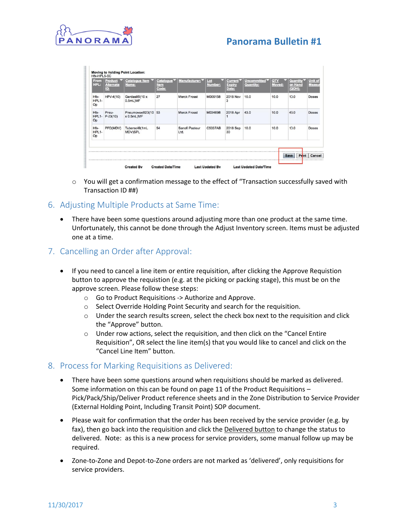

## **Panorama Bulletin #1**

| <b>From</b><br>HPL: | <b>Product</b><br><b>Alternate</b><br>ID: | Catalogue Item<br>Name:          | Catalogue <sup>v</sup><br><b>Item</b><br>Code: | Manufacturer:          | Lot<br>Number: | <b>Current</b><br><b>Expiry</b><br>Date: | Uncommitted <sup>V</sup><br><b>Quantity:</b> | <b>QTY</b><br>Moved: | Quantity<br>on Hand<br>(QOH): | <b>Unit of</b><br>Measu |
|---------------------|-------------------------------------------|----------------------------------|------------------------------------------------|------------------------|----------------|------------------------------------------|----------------------------------------------|----------------------|-------------------------------|-------------------------|
| Hfx-<br>HPL1-<br>Op | $HPV-4(10)$                               | Gardasil®(10 x<br>0.5mL)MF       | 27                                             | <b>Merck Frosst</b>    | M006158        | <b>2018 Nov</b><br>3                     | 10.0                                         | 10.0                 | 10.0                          | Doses                   |
| Hfx-<br>HPL1-<br>Op | Pneu-<br>$P-23(10)$                       | Pneumovax®23(10 53<br>x 0.5mL)MF |                                                | <b>Merck Frosst</b>    | M034698        | 2018 Apr                                 | 43.0                                         | 10.0                 | 43.0                          | Doses                   |
| Hfx-<br>HPL1-<br>Op | PPD(MDV)                                  | Tubersol®(1mL<br>MDV)SPL         | 54                                             | Sanofi Pasteur<br>Ltd. | C5037AB        | 2018 Sep<br>30                           | 10.0                                         | 10.0                 | 10.0                          | Doses                   |

- o You will get a confirmation message to the effect of "Transaction successfully saved with Transaction ID ##)
- <span id="page-2-0"></span>6. Adjusting Multiple Products at Same Time:
	- There have been some questions around adjusting more than one product at the same time. Unfortunately, this cannot be done through the Adjust Inventory screen. Items must be adjusted one at a time.

### <span id="page-2-1"></span>7. Cancelling an Order after Approval:

- If you need to cancel a line item or entire requisition, after clicking the Approve Requistion button to approve the requistion (e.g. at the picking or packing stage), this must be on the approve screen. Please follow these steps:
	- o Go to Product Requisitions -> Authorize and Approve.
	- o Select Override Holding Point Security and search for the requisition.
	- o Under the search results screen, select the check box next to the requisition and click the "Approve" button.
	- o Under row actions, select the requisition, and then click on the "Cancel Entire Requisition", OR select the line item(s) that you would like to cancel and click on the "Cancel Line Item" button.

### <span id="page-2-2"></span>8. Process for Marking Requisitions as Delivered:

- There have been some questions around when requisitions should be marked as delivered. Some information on this can be found on page 11 of the Product Requisitions – Pick/Pack/Ship/Deliver Product reference sheets and in the Zone Distribution to Service Provider (External Holding Point, Including Transit Point) SOP document.
- Please wait for confirmation that the order has been received by the service provider (e.g. by fax), then go back into the requisition and click the Delivered button to change the status to delivered. Note: as this is a new process for service providers, some manual follow up may be required.
- Zone-to-Zone and Depot-to-Zone orders are not marked as 'delivered', only requisitions for service providers.